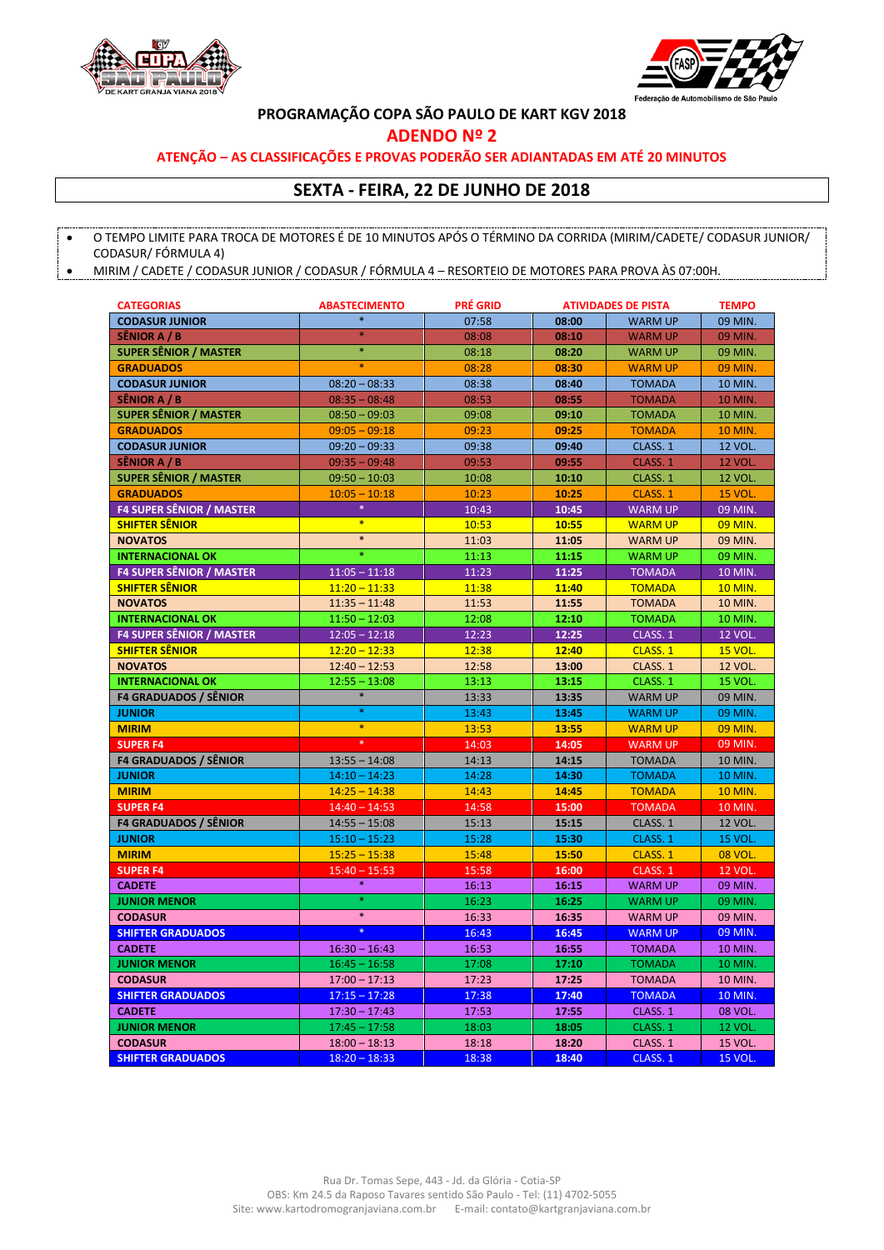



**PROGRAMAÇÃO COPA SÃO PAULO DE KART KGV 2018**

**ADENDO Nº 2**

## **ATENÇÃO – AS CLASSIFICAÇÕES E PROVAS PODERÃO SER ADIANTADAS EM ATÉ 20 MINUTOS**

## **SEXTA - FEIRA, 22 DE JUNHO DE 2018**

 O TEMPO LIMITE PARA TROCA DE MOTORES É DE 10 MINUTOS APÓS O TÉRMINO DA CORRIDA (MIRIM/CADETE/ CODASUR JUNIOR/ CODASUR/ FÓRMULA 4)

MIRIM / CADETE / CODASUR JUNIOR / CODASUR / FÓRMULA 4 – RESORTEIO DE MOTORES PARA PROVA ÀS 07:00H.

| <b>CATEGORIAS</b>               | <b>ABASTECIMENTO</b> | <b>PRÉ GRID</b> | <b>ATIVIDADES DE PISTA</b> |                | <b>TEMPO</b>   |
|---------------------------------|----------------------|-----------------|----------------------------|----------------|----------------|
| <b>CODASUR JUNIOR</b>           | $\ast$               | 07:58           | 08:00                      | <b>WARM UP</b> | 09 MIN.        |
| <b>SÊNIOR A / B</b>             | *                    | 08:08           | 08:10                      | <b>WARM UP</b> | 09 MIN.        |
| <b>SUPER SÊNIOR / MASTER</b>    | $\ast$               | 08:18           | 08:20                      | <b>WARM UP</b> | 09 MIN.        |
| <b>GRADUADOS</b>                | $\ast$               | 08:28           | 08:30                      | <b>WARM UP</b> | 09 MIN.        |
| <b>CODASUR JUNIOR</b>           | $08:20 - 08:33$      | 08:38           | 08:40                      | <b>TOMADA</b>  | 10 MIN.        |
| SÊNIOR A / B                    | $08:35 - 08:48$      | 08:53           | 08:55                      | <b>TOMADA</b>  | <b>10 MIN.</b> |
| <b>SUPER SÊNIOR / MASTER</b>    | $08:50 - 09:03$      | 09:08           | 09:10                      | <b>TOMADA</b>  | 10 MIN.        |
| <b>GRADUADOS</b>                | $09:05 - 09:18$      | 09:23           | 09:25                      | <b>TOMADA</b>  | <b>10 MIN.</b> |
| <b>CODASUR JUNIOR</b>           | $09:20 - 09:33$      | 09:38           | 09:40                      | CLASS. 1       | 12 VOL.        |
| <b>SÊNIOR A / B</b>             | $09:35 - 09:48$      | 09:53           | 09:55                      | CLASS. 1       | <b>12 VOL.</b> |
| <b>SUPER SÊNIOR / MASTER</b>    | $09:50 - 10:03$      | 10:08           | 10:10                      | CLASS. 1       | <b>12 VOL.</b> |
| <b>GRADUADOS</b>                | $10:05 - 10:18$      | 10:23           | 10:25                      | CLASS. 1       | <b>15 VOL.</b> |
| <b>F4 SUPER SÊNIOR / MASTER</b> | ¥                    | 10:43           | 10:45                      | <b>WARM UP</b> | 09 MIN.        |
| <b>SHIFTER SÊNIOR</b>           | $\ast$               | 10:53           | 10:55                      | <b>WARM UP</b> | 09 MIN.        |
| <b>NOVATOS</b>                  | $\ast$               | 11:03           | 11:05                      | <b>WARM UP</b> | 09 MIN.        |
| <b>INTERNACIONAL OK</b>         |                      | 11:13           | 11:15                      | <b>WARM UP</b> | 09 MIN.        |
| <b>F4 SUPER SÊNIOR / MASTER</b> | $11:05 - 11:18$      | 11:23           | 11:25                      | <b>TOMADA</b>  | 10 MIN.        |
| <b>SHIFTER SÊNIOR</b>           | $11:20 - 11:33$      | 11:38           | 11:40                      | <b>TOMADA</b>  | <b>10 MIN.</b> |
| <b>NOVATOS</b>                  | $11:35 - 11:48$      | 11:53           | 11:55                      | <b>TOMADA</b>  | 10 MIN.        |
| <b>INTERNACIONAL OK</b>         | $11:50 - 12:03$      | 12:08           | 12:10                      | <b>TOMADA</b>  | 10 MIN.        |
| <b>F4 SUPER SÊNIOR / MASTER</b> | $12:05 - 12:18$      | 12:23           | 12:25                      | CLASS. 1       | 12 VOL.        |
| <b>SHIFTER SÊNIOR</b>           | $12:20 - 12:33$      | 12:38           | 12:40                      | CLASS. 1       | <b>15 VOL.</b> |
| <b>NOVATOS</b>                  | $12:40 - 12:53$      | 12:58           | 13:00                      | CLASS. 1       | <b>12 VOL.</b> |
| <b>INTERNACIONAL OK</b>         | $12:55 - 13:08$      | 13:13           | 13:15                      | CLASS. 1       | 15 VOL.        |
| <b>F4 GRADUADOS / SÊNIOR</b>    | $\ast$               | 13:33           | 13:35                      | <b>WARM UP</b> | 09 MIN.        |
| <b>JUNIOR</b>                   | $\ast$               | 13:43           | 13:45                      | <b>WARM UP</b> | 09 MIN.        |
| <b>MIRIM</b>                    | $\ast$               | 13:53           | 13:55                      | <b>WARM UP</b> | 09 MIN.        |
| <b>SUPER F4</b>                 |                      | 14:03           | 14:05                      | <b>WARM UP</b> | 09 MIN.        |
| <b>F4 GRADUADOS / SÊNIOR</b>    | $13:55 - 14:08$      | 14:13           | 14:15                      | <b>TOMADA</b>  | 10 MIN.        |
| <b>JUNIOR</b>                   | $14:10 - 14:23$      | 14:28           | 14:30                      | <b>TOMADA</b>  | 10 MIN.        |
| <b>MIRIM</b>                    | $14:25 - 14:38$      | 14:43           | 14:45                      | <b>TOMADA</b>  | <b>10 MIN.</b> |
| <b>SUPER F4</b>                 | $14:40 - 14:53$      | 14:58           | 15:00                      | <b>TOMADA</b>  | 10 MIN.        |
| <b>F4 GRADUADOS / SÊNIOR</b>    | $14:55 - 15:08$      | 15:13           | 15:15                      | CLASS. 1       | 12 VOL.        |
| <b>JUNIOR</b>                   | $15:10 - 15:23$      | 15:28           | 15:30                      | CLASS. 1       | <b>15 VOL.</b> |
| <b>MIRIM</b>                    | $15:25 - 15:38$      | 15:48           | 15:50                      | CLASS. 1       | <b>08 VOL.</b> |
| <b>SUPER F4</b>                 | $15:40 - 15:53$      | 15:58           | 16:00                      | CLASS. 1       | <b>12 VOL.</b> |
| <b>CADETE</b>                   | ¥                    | 16:13           | 16:15                      | <b>WARM UP</b> | 09 MIN.        |
| <b>JUNIOR MENOR</b>             |                      | 16:23           | 16:25                      | <b>WARM UP</b> | 09 MIN.        |
| <b>CODASUR</b>                  | $\ast$               | 16:33           | 16:35                      | <b>WARM UP</b> | 09 MIN.        |
| <b>SHIFTER GRADUADOS</b>        |                      | 16:43           | 16:45                      | <b>WARM UP</b> | 09 MIN.        |
| <b>CADETE</b>                   | $16:30 - 16:43$      | 16:53           | 16:55                      | <b>TOMADA</b>  | 10 MIN.        |
| <b>JUNIOR MENOR</b>             | $16:45 - 16:58$      | 17:08           | 17:10                      | <b>TOMADA</b>  | 10 MIN.        |
| <b>CODASUR</b>                  | $17:00 - 17:13$      | 17:23           | 17:25                      | <b>TOMADA</b>  | 10 MIN.        |
| <b>SHIFTER GRADUADOS</b>        | $17:15 - 17:28$      | 17:38           | 17:40                      | <b>TOMADA</b>  | 10 MIN.        |
| <b>CADETE</b>                   | $17:30 - 17:43$      | 17:53           | 17:55                      | CLASS. 1       | 08 VOL.        |
| <b>JUNIOR MENOR</b>             | $17:45 - 17:58$      | 18:03           | 18:05                      | CLASS. 1       | 12 VOL.        |
| <b>CODASUR</b>                  | $18:00 - 18:13$      | 18:18           | 18:20                      | CLASS. 1       | <b>15 VOL.</b> |
| <b>SHIFTER GRADUADOS</b>        | $18:20 - 18:33$      | 18:38           | 18:40                      | CLASS. 1       | <b>15 VOL.</b> |